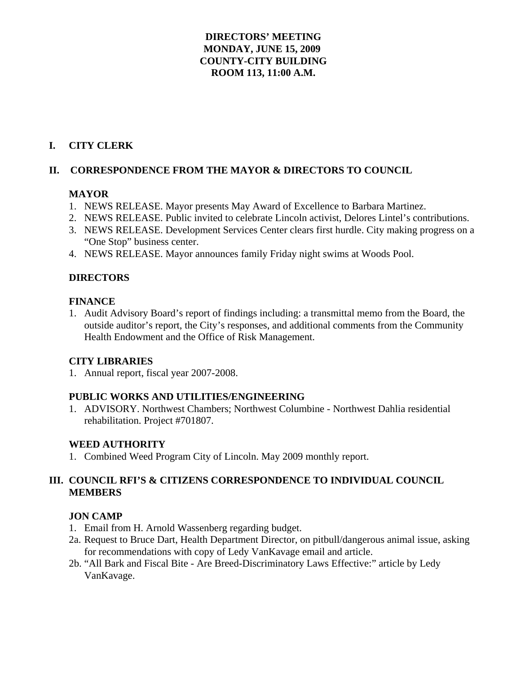## **DIRECTORS' MEETING MONDAY, JUNE 15, 2009 COUNTY-CITY BUILDING ROOM 113, 11:00 A.M.**

## **I. CITY CLERK**

### **II. CORRESPONDENCE FROM THE MAYOR & DIRECTORS TO COUNCIL**

#### **MAYOR**

- 1. NEWS RELEASE. Mayor presents May Award of Excellence to Barbara Martinez.
- 2. NEWS RELEASE. Public invited to celebrate Lincoln activist, Delores Lintel's contributions.
- 3. NEWS RELEASE. Development Services Center clears first hurdle. City making progress on a "One Stop" business center.
- 4. NEWS RELEASE. Mayor announces family Friday night swims at Woods Pool.

### **DIRECTORS**

#### **FINANCE**

1. Audit Advisory Board's report of findings including: a transmittal memo from the Board, the outside auditor's report, the City's responses, and additional comments from the Community Health Endowment and the Office of Risk Management.

# **CITY LIBRARIES**

1. Annual report, fiscal year 2007-2008.

#### **PUBLIC WORKS AND UTILITIES/ENGINEERING**

1. ADVISORY. Northwest Chambers; Northwest Columbine - Northwest Dahlia residential rehabilitation. Project #701807.

#### **WEED AUTHORITY**

1. Combined Weed Program City of Lincoln. May 2009 monthly report.

### **III. COUNCIL RFI'S & CITIZENS CORRESPONDENCE TO INDIVIDUAL COUNCIL MEMBERS**

#### **JON CAMP**

- 1. Email from H. Arnold Wassenberg regarding budget.
- 2a. Request to Bruce Dart, Health Department Director, on pitbull/dangerous animal issue, asking for recommendations with copy of Ledy VanKavage email and article.
- 2b. "All Bark and Fiscal Bite Are Breed-Discriminatory Laws Effective:" article by Ledy VanKavage.